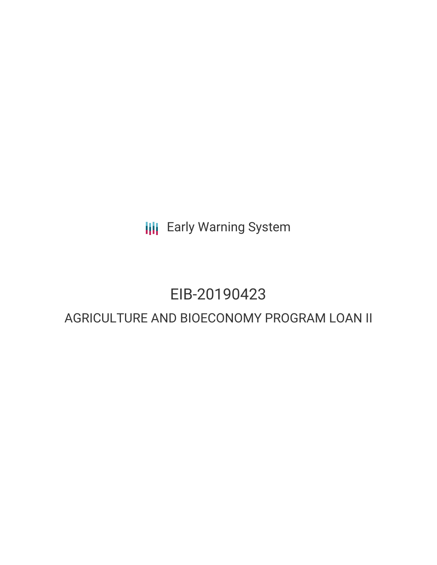**III** Early Warning System

## EIB-20190423

### AGRICULTURE AND BIOECONOMY PROGRAM LOAN II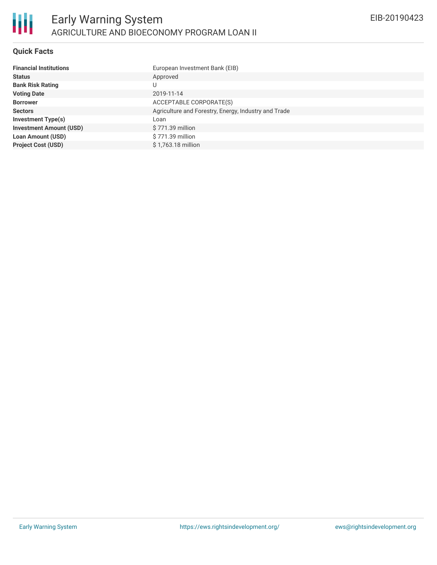

#### **Quick Facts**

| <b>Financial Institutions</b>  | European Investment Bank (EIB)                       |
|--------------------------------|------------------------------------------------------|
| <b>Status</b>                  | Approved                                             |
| <b>Bank Risk Rating</b>        |                                                      |
| <b>Voting Date</b>             | 2019-11-14                                           |
| <b>Borrower</b>                | ACCEPTABLE CORPORATE(S)                              |
| <b>Sectors</b>                 | Agriculture and Forestry, Energy, Industry and Trade |
| <b>Investment Type(s)</b>      | Loan                                                 |
| <b>Investment Amount (USD)</b> | \$771.39 million                                     |
| <b>Loan Amount (USD)</b>       | \$771.39 million                                     |
| <b>Project Cost (USD)</b>      | \$1.763.18 million                                   |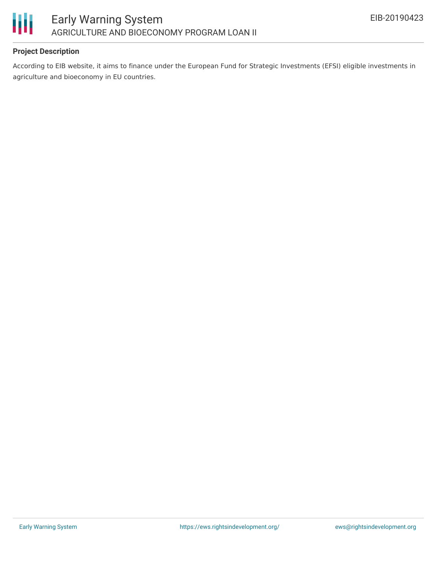

#### **Project Description**

According to EIB website, it aims to finance under the European Fund for Strategic Investments (EFSI) eligible investments in agriculture and bioeconomy in EU countries.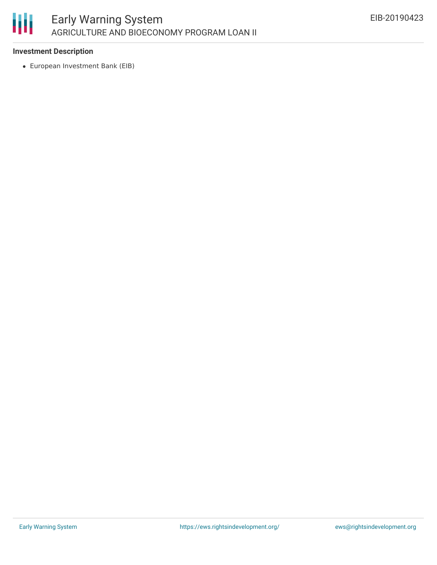

#### **Investment Description**

European Investment Bank (EIB)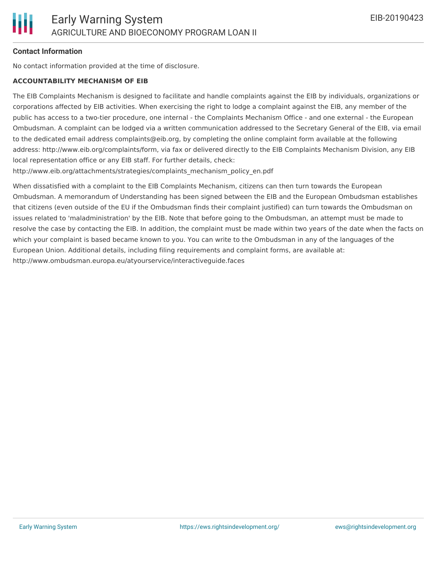

#### **Contact Information**

No contact information provided at the time of disclosure.

#### **ACCOUNTABILITY MECHANISM OF EIB**

The EIB Complaints Mechanism is designed to facilitate and handle complaints against the EIB by individuals, organizations or corporations affected by EIB activities. When exercising the right to lodge a complaint against the EIB, any member of the public has access to a two-tier procedure, one internal - the Complaints Mechanism Office - and one external - the European Ombudsman. A complaint can be lodged via a written communication addressed to the Secretary General of the EIB, via email to the dedicated email address complaints@eib.org, by completing the online complaint form available at the following address: http://www.eib.org/complaints/form, via fax or delivered directly to the EIB Complaints Mechanism Division, any EIB local representation office or any EIB staff. For further details, check:

http://www.eib.org/attachments/strategies/complaints\_mechanism\_policy\_en.pdf

When dissatisfied with a complaint to the EIB Complaints Mechanism, citizens can then turn towards the European Ombudsman. A memorandum of Understanding has been signed between the EIB and the European Ombudsman establishes that citizens (even outside of the EU if the Ombudsman finds their complaint justified) can turn towards the Ombudsman on issues related to 'maladministration' by the EIB. Note that before going to the Ombudsman, an attempt must be made to resolve the case by contacting the EIB. In addition, the complaint must be made within two years of the date when the facts on which your complaint is based became known to you. You can write to the Ombudsman in any of the languages of the European Union. Additional details, including filing requirements and complaint forms, are available at: http://www.ombudsman.europa.eu/atyourservice/interactiveguide.faces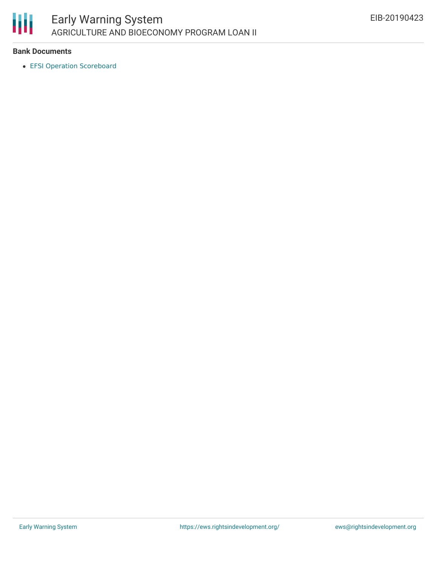

#### **Bank Documents**

EFSI Operation [Scoreboard](https://www.eib.org/attachments/scoreboards/125675780.pdf)